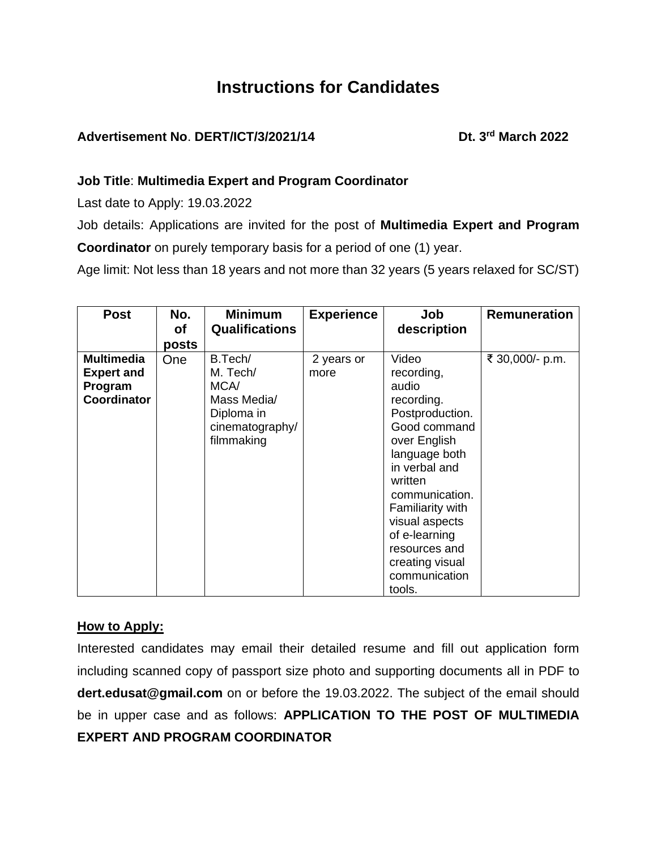# **Instructions for Candidates**

# Advertisement No. DERT/ICT/3/2021/14 Dt. 3<sup>rd</sup> March 2022

# **Job Title**: **Multimedia Expert and Program Coordinator**

Last date to Apply: 19.03.2022

Job details: Applications are invited for the post of **Multimedia Expert and Program Coordinator** on purely temporary basis for a period of one (1) year.

Age limit: Not less than 18 years and not more than 32 years (5 years relaxed for SC/ST)

| <b>Post</b>                                                             | No.<br><b>of</b> | <b>Minimum</b><br><b>Qualifications</b>                                                   | <b>Experience</b>  | Job<br>description                                                                                                                                                                                                                                                                        | <b>Remuneration</b> |
|-------------------------------------------------------------------------|------------------|-------------------------------------------------------------------------------------------|--------------------|-------------------------------------------------------------------------------------------------------------------------------------------------------------------------------------------------------------------------------------------------------------------------------------------|---------------------|
|                                                                         | posts            |                                                                                           |                    |                                                                                                                                                                                                                                                                                           |                     |
| <b>Multimedia</b><br><b>Expert and</b><br>Program<br><b>Coordinator</b> | One              | B.Tech/<br>M. Tech/<br>MCA/<br>Mass Media/<br>Diploma in<br>cinematography/<br>filmmaking | 2 years or<br>more | Video<br>recording,<br>audio<br>recording.<br>Postproduction.<br>Good command<br>over English<br>language both<br>in verbal and<br>written<br>communication.<br><b>Familiarity with</b><br>visual aspects<br>of e-learning<br>resources and<br>creating visual<br>communication<br>tools. | ₹ 30,000/- p.m.     |

## **How to Apply:**

Interested candidates may email their detailed resume and fill out application form including scanned copy of passport size photo and supporting documents all in PDF to **dert.edusat@gmail.com** on or before the 19.03.2022. The subject of the email should be in upper case and as follows: **APPLICATION TO THE POST OF MULTIMEDIA EXPERT AND PROGRAM COORDINATOR**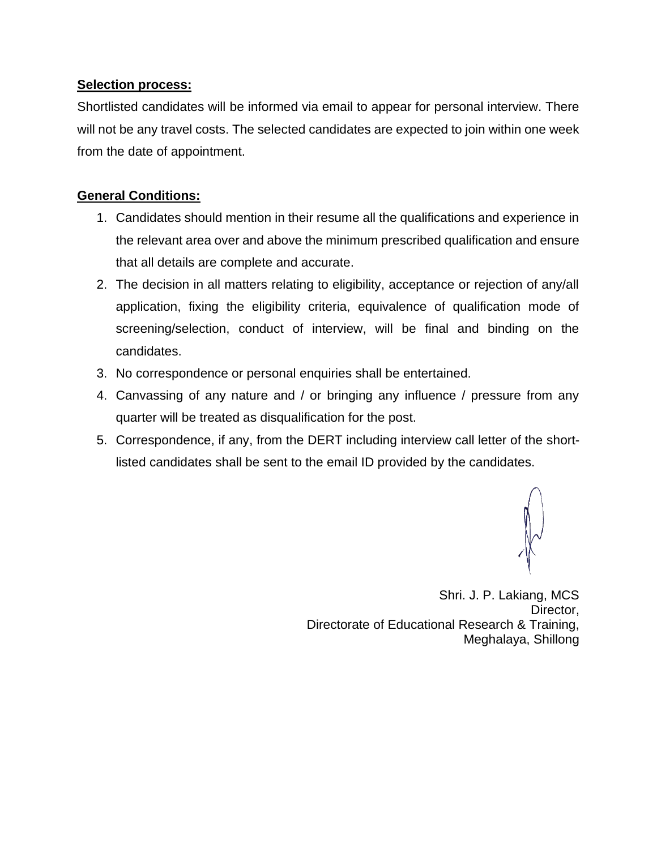#### **Selection process:**

Shortlisted candidates will be informed via email to appear for personal interview. There will not be any travel costs. The selected candidates are expected to join within one week from the date of appointment.

## **General Conditions:**

- 1. Candidates should mention in their resume all the qualifications and experience in the relevant area over and above the minimum prescribed qualification and ensure that all details are complete and accurate.
- 2. The decision in all matters relating to eligibility, acceptance or rejection of any/all application, fixing the eligibility criteria, equivalence of qualification mode of screening/selection, conduct of interview, will be final and binding on the candidates.
- 3. No correspondence or personal enquiries shall be entertained.
- 4. Canvassing of any nature and / or bringing any influence / pressure from any quarter will be treated as disqualification for the post.
- 5. Correspondence, if any, from the DERT including interview call letter of the shortlisted candidates shall be sent to the email ID provided by the candidates.

Shri. J. P. Lakiang, MCS Director, Directorate of Educational Research & Training, Meghalaya, Shillong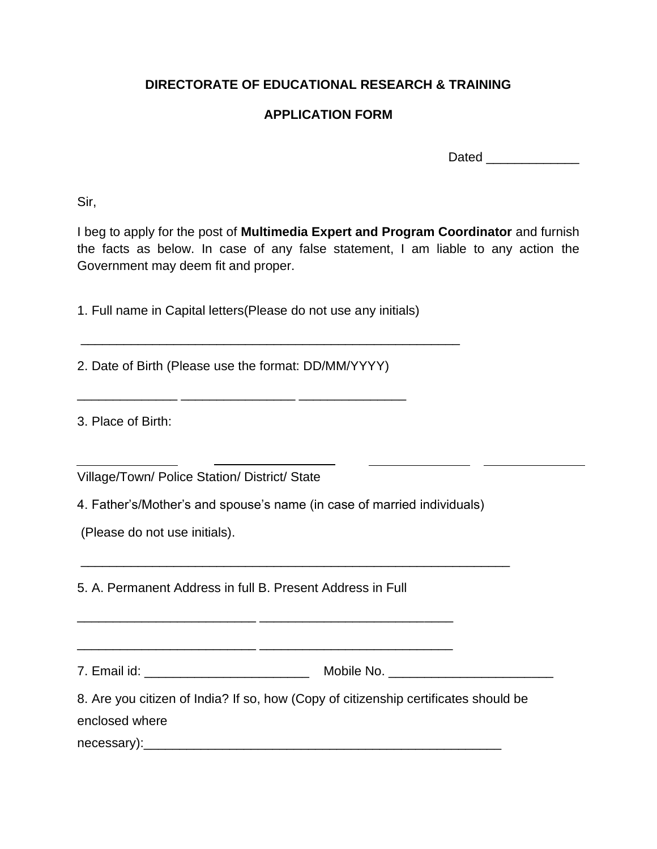# **DIRECTORATE OF EDUCATIONAL RESEARCH & TRAINING**

## **APPLICATION FORM**

Dated **Dates and Security** 

Sir,

I beg to apply for the post of **Multimedia Expert and Program Coordinator** and furnish the facts as below. In case of any false statement, I am liable to any action the Government may deem fit and proper.

1. Full name in Capital letters(Please do not use any initials)

\_\_\_\_\_\_\_\_\_\_\_\_\_\_\_\_\_\_\_\_\_\_\_\_\_\_\_\_\_\_\_\_\_\_\_\_\_\_\_\_\_\_\_\_\_\_\_\_\_\_\_\_\_

\_\_\_\_\_\_\_\_\_\_\_\_\_\_ \_\_\_\_\_\_\_\_\_\_\_\_\_\_\_\_ \_\_\_\_\_\_\_\_\_\_\_\_\_\_\_

2. Date of Birth (Please use the format: DD/MM/YYYY)

3. Place of Birth:

Village/Town/ Police Station/ District/ State

4. Father's/Mother's and spouse's name (in case of married individuals)

(Please do not use initials).

5. A. Permanent Address in full B. Present Address in Full

\_\_\_\_\_\_\_\_\_\_\_\_\_\_\_\_\_\_\_\_\_\_\_\_\_ \_\_\_\_\_\_\_\_\_\_\_\_\_\_\_\_\_\_\_\_\_\_\_\_\_\_\_

\_\_\_\_\_\_\_\_\_\_\_\_\_\_\_\_\_\_\_\_\_\_\_\_\_ \_\_\_\_\_\_\_\_\_\_\_\_\_\_\_\_\_\_\_\_\_\_\_\_\_\_\_

7. Email id: \_\_\_\_\_\_\_\_\_\_\_\_\_\_\_\_\_\_\_\_\_\_\_ Mobile No. \_\_\_\_\_\_\_\_\_\_\_\_\_\_\_\_\_\_\_\_\_\_\_

\_\_\_\_\_\_\_\_\_\_\_\_\_\_\_\_\_\_\_\_\_\_\_\_\_\_\_\_\_\_\_\_\_\_\_\_\_\_\_\_\_\_\_\_\_\_\_\_\_\_\_\_\_\_\_\_\_\_\_\_

8. Are you citizen of India? If so, how (Copy of citizenship certificates should be enclosed where

necessary):\_\_\_\_\_\_\_\_\_\_\_\_\_\_\_\_\_\_\_\_\_\_\_\_\_\_\_\_\_\_\_\_\_\_\_\_\_\_\_\_\_\_\_\_\_\_\_\_\_\_